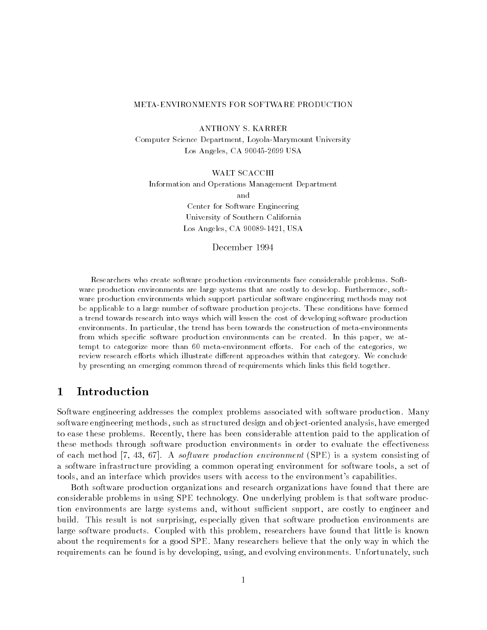### METAENVIRONMENTS FOR SOFTWARE PRODUCTION

Computer Science Department, Loyola-Marymount University Los Angeles, CA 90045-2699 USA

**WALT SCACCHI** Information and Operations Management Department and Center for Software Engineering University of Southern California 2000 - 2000 - 2000 - 2000 - 2000 - 2000 - 2000 - 2000 - 2000 - 2000 - 2000 - 2000 - 2000 - 2000 - 2000 - 2000

 $\sim$  -  $\sim$  -  $\sim$  -  $\sim$  -  $\sim$  -  $\sim$  -  $\sim$  -  $\sim$  -  $\sim$  -  $\sim$  -  $\sim$  -  $\sim$  -  $\sim$  -  $\sim$  -  $\sim$  -  $\sim$  -  $\sim$  -  $\sim$  -  $\sim$  -  $\sim$  -  $\sim$  -  $\sim$  -  $\sim$  -  $\sim$  -  $\sim$  -  $\sim$  -  $\sim$  -  $\sim$  -  $\sim$  -  $\sim$  -  $\sim$  -  $\sim$ 

Researchers who create software production environments face considerable problems- Soft ware production environments are large systems that are costly to develope romanizations that ware production environments which support particular software engineering methods may not be applicable to a large number of software production projects- These conditions have formed a trend towards research into ways which will lessen the cost of developing software production environments- In particular the trend has been towards the construction of metaenvironments from which specic software production environments can be created- In this paper we at tempt to categorize more than  $\mathbf{F}$ review research e
orts which illustrate di
erent approaches within that category- We conclude by presenting an emerging common thread of requirements which links this field together.

## Introduction

Software engineering addresses the complex problems associated with software production. Many software engineering methods- oo je ob design and ob design and ob jectoriented analysis- to such group to ease these problems Recently- there has been considerable attention paid to the application of these methods through software production environments in order to evaluate the effectiveness of each method in the state of the state of the software consisting of the system of the second of the state of associated infrastructure providing a common operating  $\mathbf{r} = \mathbf{r} \cdot \mathbf{r}$ tools- and an interface which provides users with access to the environment
s capabilities

Both software production organizations and research organizations have found that there are considerable problems in using SPE technology One underlying problem is that software produc tion environments are large systems and- without sucient support- are costly to engineer and build This result is not surprising- especially given that software production environments are large software products Coupled with this problem- researchers have found that little is known about the requirements for a good SPE Many researchers believe that the only way in which the requirements can be found is by developing, which is by developing the canonical continuation of the case of the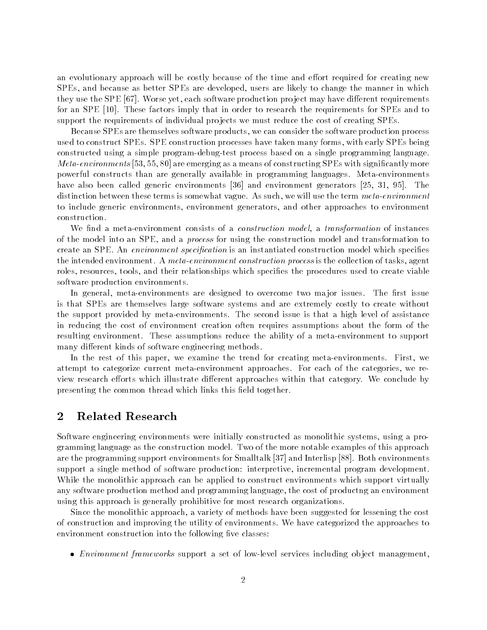an evolutionary approach will be costly because of the time and effort required for creating new SPEs- and because as better SPEs are developed- users are likely to change the manner in which they use they use they use the SPE  $\,$  Peroduction production production production production production pro for an SPE These factors imply that in order to research the requirements for SPEs and to support the requirements of individual projects we must reduce the cost of creating SPEs.

Because SPEs are themselves software products- we can consider the software production process with the construction of the second spectrum processes and the manner of the spectrum of the second complete constructed using a simple program-debug-test process based on a single programming language. are emerging as a means of construction of construction of construction of construction of construction of construction of construction of construction of construction of construction of construction of construction of con powerful constructs than are generally available in programming languages. Meta-environments have also been called generators and environments and environmental generators and you was a series of the seri distinction between the terms is somewhat variable  $\mathbf{A}$  such  $\mathbf{A}$ to include generators-include and other and other approaches to environment approaches to environment. construction

we also a metal consists of installer construction of a construction model-weight model-weight and instances o of the model into an SPE-C into an SPE-C into an SPE-C into an SPE-C into an SPE-C into an SPE-C into an SPE-C into an SPE-C into an SPE-C into an SPE-C into an SPE-C into an SPE-C into an SPE-C into an SPE-C into an SPEcreate and specificated construction is an instantiated construction construction model which specificate a proceeding the intended environment A metal  $\mathbf{r}$ roles- resources- tools- and their relationships which species the procedures used to create viable software production environments

<u> are designed to are designed to our two mandators to overcome two mandators issues The rst issues </u> is that SPEs are themselves large software systems and are extremely costly to create without the support provided by meta-environments. The second issue is that a high level of assistance in reducing the cost of environment creation often requires assumptions about the form of the resulting environment. These assumptions reduce the ability of a meta-environment to support many different kinds of software engineering methods.

In the rest of this paper- we examine the trend for creating metaenvironments First- we attempt to categorize current metaenvironment approaches For each of the categories- we re view research efforts which illustrate different approaches within that category. We conclude by presenting the common thread which links this field together.

### $\overline{2}$ Related Research

Software engineering environments were initially constructed as monolithic systems- using a pro gramming language as the construction model Two of the more notable examples of this approach are the programming support environments for Small internal part small property in Small the Small internal sm support a single method of software production interpretive-theories program developmental While the monolithic approach can be applied to construct environments which support virtually any software production method and programming language- the cost of producting and cost of production using this approach is generally prohibitive for most research organizations

Since the monolithic approach- a variety of methods have been suggested for lessening the cost of construction and improving the utility of environments We have categorized the approaches to environment construction into the following five classes:

Environment frameworks support a set of lowlevel services including ob ject management-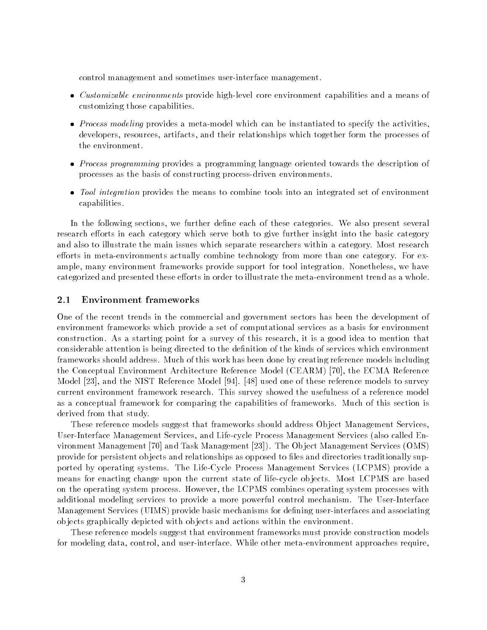control management and sometimes userinterface management

- Customizable environments provide highlevel core environment capabilities and a means of customizing those capabilities
- Process modeling provides a metamodel which can be instantiated to specify the activitiesartifacts-their relationships which relationships which the processes of the processes of the processes of the the environment
- Process programming provides a programming language oriented towards the description of processes as the basis of constructing process-driven environments.
- Tool integration provides the means to combine tools into an integrated set of environment capabilities

In the following sections- we further dene each of these categories We also present several research efforts in each category which serve both to give further insight into the basic category and also to illustrate the main issues which separate researchers within a category. Most research efforts in meta-environments actually combine technology from more than one category. For example-, many environment frameworks provide supporter for the supporter integration  $\mathcal{L}$ categorized and presented these efforts in order to illustrate the meta-environment trend as a whole.

### -Environment frameworks

One of the recent trends in the commercial and government sectors has been the development of environment frameworks which provide a set of computational services as a basis for environment construction as a statistic point for a survey of this research-it is a good idea to method the to considerable attention is being directed to the denition of the kinds of services which environment frameworks should address Much of this work has been done by creating reference models including the Conceptual Environment Architecture Reference Model CEARM - the ECMA Reference Model - and the NIST Reference Model used one of these reference models to survey current environment framework research. This survey showed the usefulness of a reference model as a conceptual framework for comparing the capabilities of frameworks. Much of this section is derived from that study

These reference models suggest that frameworks should address Ob ject Management Services-User Interface Management Services- Services Management Services- Management Services (Service Andrew Manageme vironment is the observed and the Observed Management (Task Management Services Order of the Observ provide for persistent objects and relationships as opposed to files and directories traditionally supported by operating systems. The Life-Cycle Process Management Services (LCPMS) provide a means for enacting change upon the current state of life-cycle objects. Most LCPMS are based on the operating system process However- the LCPMS combines operating system processes with additional modeling services to provide a more powerful control mechanism. The User-Interface Management Services (UIMS) provide basic mechanisms for defining user-interfaces and associating ob jects graphically depicted with ob jects and actions within the environment

These reference models suggest that environment frameworks must provide construction models for modeling data- control- and userinterface While other metaenvironment approaches require-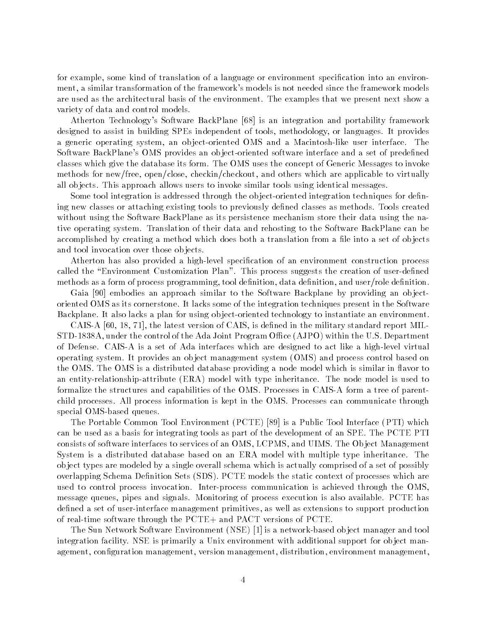for example- some kind of translation of a language or environment specication into an environ ment-transformation of the framework models is not needed since the framework models is not needed since the f are used as the architectural basis of the environment. The examples that we present next show a variety of data and control models

s so the Software  $\Delta$  is an integration and portability framework framework framework framework framework framework designed to assist in building SPEs independent of the tools-second-building independent of the second-building or languages in the second-building or languages in the second-building or languages in the second-building or a generic sperating system, was super contained open water than machinese and an interface Theory Software BackPlane's OMS provides an object-oriented software interface and a set of predefined classes which give the database its form The OMS uses the concept of Generic Messages to invoke methods for newfree- openclose- checkincheckout- and others which are applicable to virtually all objects. This approach allows users to invoke similar tools using identical messages.

Some tool integration is addressed through the object-oriented integration techniques for defining new classes or attaching existing tools to previously defined classes as methods. Tools created without using the Software BackPlane as its persistence mechanism store their data using the na tive operating system Translation of their data and rehosting to the Software BackPlane can be accomplished by creating a method which does both a translation from a file into a set of objects and tool invocation over those objects.

Atherton has also provided a high-level specification of an environment construction process called the "Environment Customization Plan". This process suggests the creation of user-defined methods as a form of process programming- to an and users and users and user-process and users and

Gaia is a control to the Software Backberry and the Software Backberry providing and the Software Back oriented OMS as its cornerstone It lacks some of the integration techniques present in the Software Backplane. It also lacks a plan for using object-oriented technology to instantiate an environment.

. The latest version of CAIS-is denoted in the military standard report MILITARY standard report MILITARY standard report MILITARY standard report MILITARY standard report MILITARY standard report MILITARY standard report STDA- under the control of the Ada Joint Program Oce AJPO within the US Department of Defense. CAIS-A is a set of Ada interfaces which are designed to act like a high-level virtual operating system It provides an ob ject management system OMS and process control based on the OMS. The OMS is a distributed database providing a node model which is similar in flavor to an entity-relationship-attribute (ERA) model with type inheritance. The node model is used to formalize the structures and capabilities of the OMS. Processes in CAIS-A form a tree of parentchild processes All process information is kept in the OMS Processes can communicate through special OMS-based queues.

The Portable Common Tool Environment PCTE  $\mathcal{L}$  . The Public Tool Interface PTI which  $\mathcal{L}$ can be used as a basis for integrating tools as part of the development of an SPE The PCTE PTI consists of software interfaces to services to and observe the open panels of an OMS- in the Observed Component System is a distributed database based on an ERA model with multiple type inheritance. The ob ject types are modeled by a single overall schema which is actually comprised of a set of possibly overlapping Schema Definition Sets (SDS). PCTE models the static context of processes which are used to control process invocation Interprocess communication is achieved through the OMSmessage queues- pipes and signals Monitoring of process execution is also available PCTE has dened a set of userinterface management primitives- as well as extensions to support production of real-time software through the  $PCTE<sub>+</sub>$  and PACT versions of PCTE.

The Sun Network Software Environment NSE  $\mathcal{S}$  is a network based ob ject manager and tool  $\mathcal{S}$ integration facility. NSE is primarily a Unix environment with additional support for object management-istribution management-istribution-istribution-istribution-istribution-istribution-istribution-istribu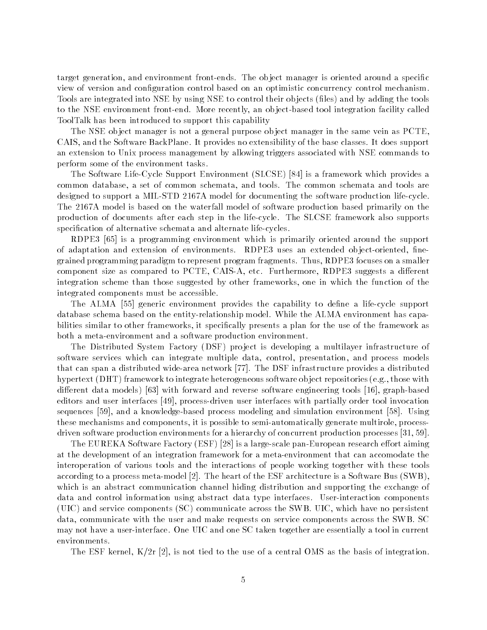target generation- and environment frontends The ob ject manager is oriented around a specic view of version and configuration control based on an optimistic concurrency control mechanism. Tools are integrated into NSE by using NSE to control their objects (files) and by adding the tools to the NSE environment from  $\mathcal{U}$ ToolTalk has been introduced to support this capability

The NSE object manager is not a general purpose object manager in the same vein as PCTE. CAIS- and the Software BackPlane It provides no extensibility of the base classes It does support an extension to Unix process management by allowing triggers associated with NSE commands to perform some of the environment tasks

The Software LifeCycle Support Environment SLCSE is a framework which provides a common database- a set of common schemata- and tools tools and tools and tools are and tools are tools are a designed to support a MIL-STD 2167A model for documenting the software production life-cycle. The 2167A model is based on the waterfall model of software production based primarily on the production of documents after each step in the lifecycle The SLCSE framework also supports specification of alternative schemata and alternate life-cycles.

RDPE is a programming environment which is primarily oriented around the support of adaptation and extension of environments RDPE uses an extended ob jectoriented- ne die paradigm to represent paradigm to represent program fragments Thuscomponent size as compared to PCTE- CAISA- etc Furthermore- RDPE suggests a dierent integration scheme than those suggested by other frameworks- one in which the function of the integrated components must be accessible

The ALMA generic environment provides the capability to dene a lifecycle support database schema based on the entity-relationship model. While the ALMA environment has capabilities similar to other frameworks- it specically presents a plan for the use of the framework as both a meta-environment and a software production environment.

The Distributed System Factory (DSF) project is developing a multilayer infrastructure of software services which can integrate multiple data- control- presentation- and process models that can span a distributed widearea network The DSF infrastructure provides a distributed hypertext DHT framework to integrate heterogeneous software ob ject repositories eg- those with die die reversie with forward and reverse software in the reverse of the control of the property of the control editors and user interfaces - processdriven user interfaces with partially order tool invocation sequences is the and a construction of the control and simulation environment control is the control of the co these mechanisms and components- it is possible to semiautomatically generate multirole- process driven software production environments for a hierarchy of concurrent production processes -

. The Eurestee Software Factory (ESF) is a large fine panel panel research entry and  $\alpha$ at the development of an integration framework for a meta-environment that can accomodate the interoperation of various tools and the interactions of people working together with these tools according to a process metal metals population is and the estimation architecture is a Software Bus SWBwhich is an abstract communication channel hiding distribution and supporting the exchange of data and control information using abstract data type interfaces. User-interaction components UIC and service components SC communicate across the SWB UIC- which have no persistent data-termination that with the user and make request on service components across the SWB SC SC SC S may not have a userinterface One UIC and one SC taken together are essentially a tool in current environments

- and the estimated the use of the user of the use of the use of the user of the state  $\Delta$  as the  $\Delta$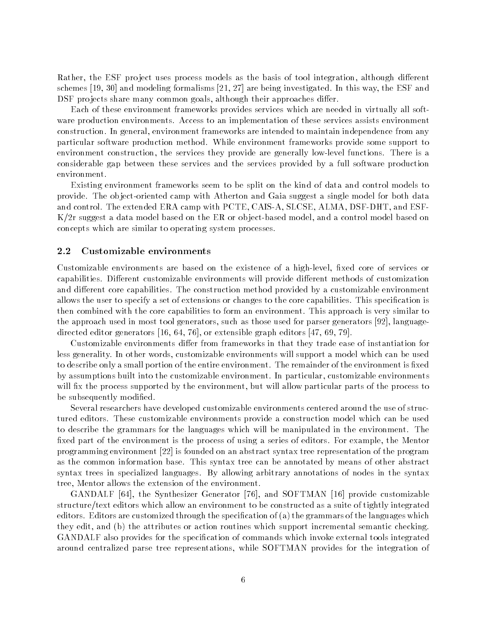Rather- the ESF pro ject uses process models as the basis of tool integration- although dierent schemes - and modeling formalisms - and modeling formalisms - and modeling in this way-DSF pro jects share many common goals- although their approaches dier

Each of these environment frameworks provides services which are needed in virtually all soft ware production environments Access to an implementation of these services assists environment construction In general- environment frameworks are intended to maintain independence from any particular software production method While environment frameworks provide some support to environment construction- the services they provided are generally low functions There is a service to the considerable gap between these services and the services provided by a full software production environment

Existing environment frameworks seem to be split on the kind of data and control models to provide. The object-oriented camp with Atherton and Gaia suggest a single model for both data and control The extended ERA camp with PCTE- CAISA- SLCSE- ALMA- DSFDHT- and ESF Kr suggest a data model based on the ER or ob jectbased model- and a control model based on concepts which are similar to operating system processes

#### -Customizable environments

Customizable environments are based on the existence of a highlevel- xed core of services or capabilities. Different customizable environments will provide different methods of customization and different core capabilities. The construction method provided by a customizable environment allows the user to specify a set of extensions or changes to the core capabilities. This specification is then combined with the core capabilities to form an environment. This approach is very similar to the approach used in most tool generators- such as those used for parser generators - language arrested editor generators included that include the contract inti-oriented the contract of the contract of the

Customizable environments differ from frameworks in that they trade ease of instantiation for less generality In other words- customizable environments will support a model which can be used to describe only a small portion of the entire environment. The remainder of the environment is fixed by assumptions built into the customizable environment In particular- customizable environments will allow process supported by the environment-but will allow parts of the process to the process to the process to be subsequently modified.

Several researchers have developed customizable environments centered around the use of struc tured editors. These customizable environments provide a construction model which can be used to describe the grammars for the languages which will be manipulated in the environment. The xed part of the environment is the process of using a series of editors For example- the Mentor programming environment is founded on an abstract syntax tree representation of the program as the common information base This syntax tree can be annotated by means of other abstract syntax trees in specialized languages By allowing arbitrary annotations of nodes in the syntax tree- Mentor allows the extension of the environment

Gandales Islam . The Synthesizer Synthesizer Customization of the Synthesizer Customizable Customizable Customiz structure/text editors which allow an environment to be constructed as a suite of tightly integrated editors. Editors are customized through the specification of  $(a)$  the grammars of the languages which they contributes in formal services which support incremental semantic check semantic checking. The semantic ch GANDALF also provides for the specification of commands which invoke external tools integrated around centralized parse tree representations- while SOFTMAN provides for the integration of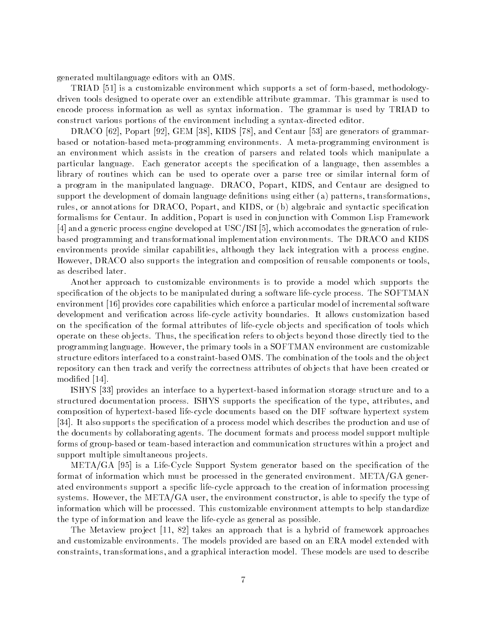generated multilanguage editors with an OMS

TRIAD is a customizable environment which supports a set of formbased- methodology driven tools designed to operate over an extendible attribute grammar. This grammar is used to encode process information as well as syntax information The grammar is used by TRIAD to construct various portions of the environment including a syntax-directed editor.

DRACO - Popart - GEM - KIDS - and Centaur are generators of grammar based or notation-based meta-programming environments. A meta-programming environment is an environment which assists in the creation of parsers and related tools which manipulate a particular language Each generator accepts the specication of a language- then assembles a library of routines which can be used to operate over a parse tree or similar internal form of a program in the manipulated language Draco-off Party means to the designed to the complete to support the development of domain language denitions using either a patterns- transformationsrules- or border for Data and Data Compart- or and the populations of the production specification of the comp formalisms for Centaur In addition- Popart is used in conjunction with Common Lisp Framework and a generic process engine developed at USCISI particle at USCISI and accomodates the generation of rule based programming and transformational implementation environments The DRACO and KIDS environments provide similarities-similarities-que lack integration with a process engineer However- DRACO also supports the integration and composition of reusable components or toolsas described later

Another approach to customizable environments is to provide a model which supports the specification of the objects to be manipulated during a software life-cycle process. The  $S\text{OPTMAN}$ environment in the capabilities which enforces which enforces which enforce a particular model of incremental software a particular model of incremental software model of incremental software model of incremental software development and verification across life-cycle activity boundaries. It allows customization based on the specification of the formal attributes of life-cycle objects and specification of tools which operate on these ob jects Thus- the specication refers to ob jects beyond those directly tied to the programming language However- the primary tools in a SOFTMAN environment are customizable structure editors interfaced to a constraint-based OMS. The combination of the tools and the object repository can then track and verify the correctness attributes of ob jects that have been created or modified [14].

ISHYS provides an interface to a hypertextbased information storage structure and to a structured documentation process ISHYS supports the specication of the type- attributes- and composition of hypertext-based life-cycle documents based on the DIF software hypertext system It also supports the specication of a process model which describes the production and use of the documents by collaborating agents The document formats and process model support multiple forms of group-based or team-based interaction and communication structures within a project and support multiple simultaneous projects.

METAGA is a LifeCycle Support System generator based on the specication of the format of information which must be processed in the generated environment.  $META/GA$  generated environments support a specific life-cycle approach to the creation of information processing systems However- the METAGA user- the environment constructor- is able to specify the type of information which will be processed. This customizable environment attempts to help standardize the type of information and leave the lifecycle as general as possible

The Metaview pro ject - takes an approach that is a hybrid of framework approaches and customizable environments The models provided are based on an ERA model extended with constraints- transformations- and a graphical interaction model These models are used to describe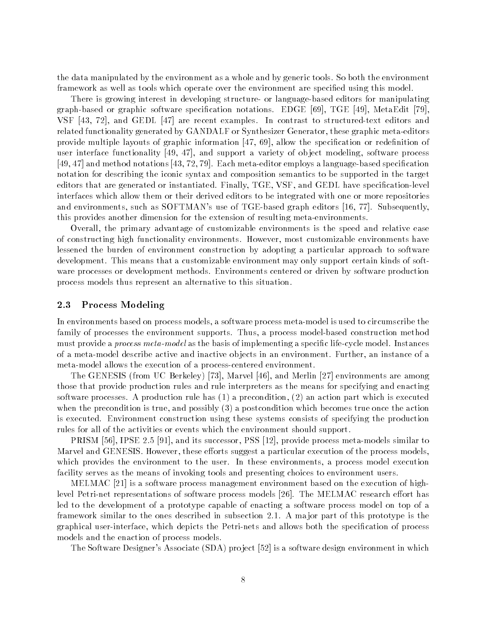the data manipulated by the environment as a whole and by generic tools So both the environment framework as well as tools which operate over the environment are specified using this model.

There is growing interest in developing structure- or language-based editors for manipulating agraphic software species in the species or graphic software species in the species of the species of the species of the species of the species of the species of the species of the species of the species of the species of vare recent contrast are recently that the contrast to structure in contrast to structure and the contrast of related functionality generated by GANDALF or Synthesizer Generator- these graphic metaeditors provide multiple any case in graphic information of the species of provided in continuous are to was interface functionally just the support of the collect modelling, such a various of  $\mu$  and  $\mu$ - and method notations - - Each metaeditor employs a languagebased specication notation for describing the iconic syntax and composition semantics to be supported in the target editors that are generated or instantiated Finally-Line-Line-Line-Composition in the specific specific interfaces which allow them or their derived editors to be integrated with one or more repositories and environments- as SOFTMAN and Subsequently- as SOFTMAN (Subsequently- and the property- and the subsequentlythis provides another dimension for the extension of resulting meta-environments.

Overall- the primary advantage of customizable environments is the speed and relative ease of constructionality environments However- $\mathcal{L}$ lessened the burden of environment construction by adopting a particular approach to software development. This means that a customizable environment may only support certain kinds of software processes or development methods. Environments centered or driven by software production process models thus represent an alternative to this situation

### -Process Modeling

In environments based on process models- a software process metamodel is used to circumscribe the family of processes the environment supports Thus- a process modelbased construction method must provide a *process meta-model* as the basis of implementing a specific life-cycle model. Instances of a metamodel describe and inactive and inactive or jects in an environment Further-Turk instance of a meta-model allows the execution of a process-centered environment.

The GENESIS from UC Berkeley - Marvel - and Merlin environments are among those that provide production rules and rule interpreters as the means for specifying and enacting software processes as production rule matches (s) a precondition-part which is executed an action of when the precondition is true-true-true-true-true-true-true-true once the action which becomes true once the action  $\mu$ is executed. Environment construction using these systems consists of specifying the production rules for all of the activities or events which the environment should support

PRISM - IPSE - and its successor- PSS - provide process metamodels similar to Marvel and GENESIS However- these eorts suggest a particular execution of the process modelswhich provides the environment to the user In the user Indian theory of provides and all the straight facility serves as the means of invoking tools and presenting choices to environment users.

 $M$  is a software process management based on the execution on the execution of  $M$ level Petrinet representations of software process models The MELMAC research eort has led to the development of a prototype capable of enacting a software process model on top of a framework similar to the ones described in subsection  $2.1$ . A major part of this prototype is the graphical user that the person of all others allows the special users and allows both the special of processes models and the enaction of process models

The Software Designer
s Associate SDA pro ject is a software design environment in which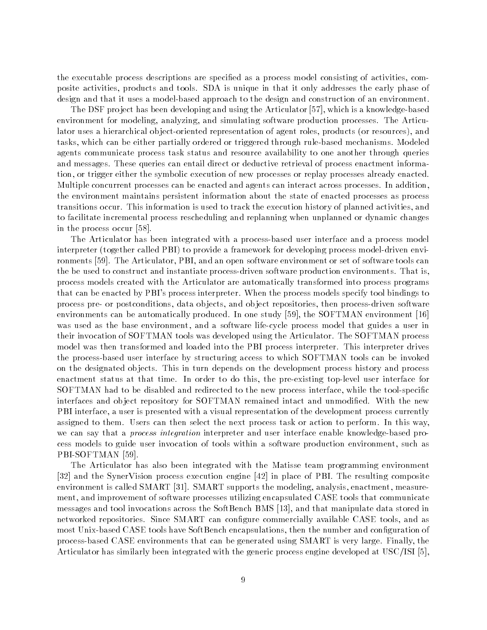the executable process descriptions are specied as a process model consisting of activities- com posite activities- products and tools SDA is unique in that it only addresses the early phase of design and that it uses a model-based approach to the design and construction of an environment.

The DSF pro ject has been developing and using the Articulator - which is a knowledgebased environment for modeling-software production production production production production production and articu lator uses a hierarchical ob jectoriented representation of agent roles- products or resources- and tasks- which can be either partially ordered or triggered through rulebased mechanisms Modeled agents communicate process task status and resource availability to one another through queries and messages. These queries can entail direct or deductive retrieval of process enactment information- or trigger either the symbolic execution of new processes or replay processes already enacted Multiple concurrent processes can be enacted and agents can interact across processes. In addition. the environment maintains persistent information about the state of enacted processes as process transitions occur This information is used to the execution the execution of planned activities- and activitie to facilitate incremental process rescheduling and replanning when unplanned or dynamic changes in the process occur

The Articulator has been integrated with a processbased user interface and a process model interpreter (together called PBI) to provide a framework for developing process model-driven environments The Articulator- PBI- and an open software environment or set of software tools can the be used to construct and instantiate process-driven software production environments. That is. process models created with the Articulator are automatically transformed into process programs that can be enacted by PBI
s process interpreter When the process models specify tool bindings to process pre or postconditions- data ob jects- and ob ject repositories- then processdriven software environments can be automatically produced in one study proposed in order the studies of the study of  $\mathbb{R}^n$ was used as the base environment-different process model that guides a user in  $\mathcal{U}$ their invocation of SOFTMAN tools was developed using the Articulator The SOFTMAN process model was then transformed and loaded into the PBI process interpreter This interpreter drives the processbased user interface by structuring access to which SOFTMAN tools can be invoked on the designated ob jects This in turn depends on the development process history and process enactment status at that time In order to do this- the preexisting toplevel user interface for , which the total to the disabled and redirected to the new process interface-the theory process interfaceinterfaces and object repository for SOFTMAN remained intact and unmodified. With the new . A user is the state-face-of-presentation of the development process control the development process currently assigned to them. Users can then select the next process task or action to perform. In this way, we can say that a *process integration* interpreter and user interface enable knowledge-based process models to guide user invocation of tools within a software production environment, there we PBISOFTMAN

The Articulator has also been integrated with the Matisse team programming environment is and the Syncrocess process execution engine in place of PBI The resulting composite environment is called SMART (SMART) supported SMART (SMART SUPPORTS THE MODELING- SMART SUPPORTS THE MARTIN CO ment- and improvement of software processes utilizing encapsulated CASE tools that communicate messages and tool invocations across the SoftBench BMS - and that manipulate data stored in networked repositories Since SMART can congure commercially available CASE tools- and as most Unixbased CASE tools have SoftBench encapsulations-congurations-congurations-conguration of  $\Lambda$ processe can be can be can be an above that can be generated using SMART is very larger finally can be Articulator has similarly been integrated with the generic process engine developed at USCISI -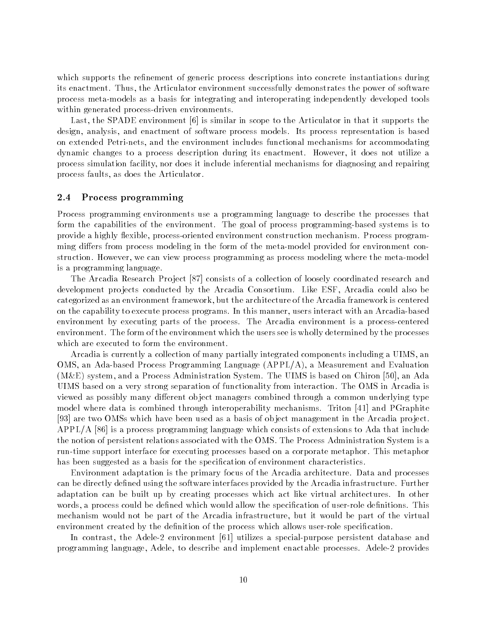which supports the refinement of generic process descriptions into concrete instantiations during its enactment Thus-Articulator enactment successfully demonstrates the power of software of software of software process meta-models as a basis for integrating and interoperating independently developed tools within generated process-driven environments.

and the SPADE environment is stated to the SPADE environment of the SPADE environment of the SPADE environment design-to-controller and enactment of software process models in the software process models in the software p on extended Petri and the environment includes functional mechanisms functional mechanisms for accommodating distribute changes to a process description during its enactment However-Core and However-Core process simulation facility- nor does it include inferential mechanisms for diagnosing and repairing process faults-the Articulator faults-the Articulator faults-the Articulator faults-the Articulator faults-the

### -Process programming

Process programming environments use a programming language to describe the processes that form the capabilities of the environment. The goal of process programming-based systems is to provide a mighty existently provided escosicity existented environment construction resource programs to ming differs from process modeling in the form of the meta-model provided for environment construction However-Commission However-Programming as process modeling where the metamodeling where the metamode is a programming language

. The arcadiant production of a collection of a collection of a collection of a collection of a coordinated research and  $\alpha$ development pro jects conducted by the Arcadia Consortium Like ESF- Arcadia could also be categorized as an environment framework-the architecture of the architecture of the Arcadia framework is centered on the capability to execute process programs In this manner- users interact with an Arcadiabased environment by executing parts of the process. The Arcadia environment is a process-centered environment. The form of the environment which the users see is wholly determined by the processes which are executed to form the environment.

arcadian is collection of the collection of many particles integrated components including a UIMS-CI  $\alpha$ out a measurement of the Programming Dan Adabased Apple Application and Evan and Evan Application ME system- and a Process Administration System The UIMS is based on Chiron - an Ada UIMS based on a very strong separation of functionality from interaction The OMS in Arcadia is viewed as possibly many different object managers combined through a common underlying type model where data is combined through interoperability mechanisms Triton and PGraphite are two OMSs which have been used as a basis of ob ject management in the Arcadia pro ject  $\mathcal{A} = \{ \ldots, \ldots, \ldots, \mathcal{A} \}$  . In the construction of the  $\mathcal{A}$  included to  $\mathcal{A}$  included that is a set of extensions to  $\mathcal{A}$ the notion of persistent relations associated with the OMS The Process Administration System is a run-time support interface for executing processes based on a corporate metaphor. This metaphor has been suggested as a basis for the specification of environment characteristics.

Environment adaptation is the primary focus of the Arcadia architecture Data and processes can be directly defined using the software interfaces provided by the Arcadia infrastructure. Further adaptation can be built up by creating processes which act like virtual architectures. In other words- a process could be dened which which we denote the special allows the special density the species  $\sim$ mechanism would not be part of the Arcadia infrastructure- but it would be part of the virtual environment created by the definition of the process which allows user-role specification.

in contrast-purpose in a special purpose persistent and persistent purpose persistent and not made programming language- Adele- to describe and implement enactable processes Adele provides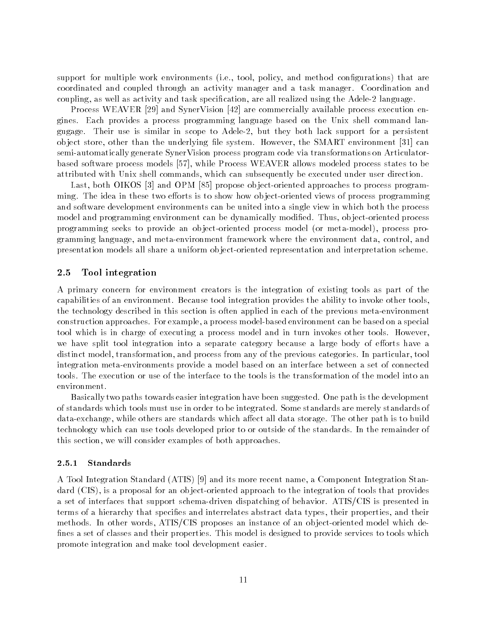support for multiple work environments in the point  $\mu$  and method configurations  $\mu$  that we have coordinated and coupled through an activity manager and a task manager Coordination and coupling-the association-task species and task species and task species and task species and the Adele language

Process WEAVER and SynerVision are commercially available process execution en gines. Each provides a process programming language based on the Unix shell command langugage Their use is similar in scope to Adele- but they both lack support for a persistent ob ject store, clear than the underlying left systems. Here we have sincere the strainers join, clear semi-automatically generate SynerVision process program code via transformations on Articulatorbased software process models - while Process WEAVER allows modeled process states to be attributed with Unix shell community be executed under user directions  $\mathbf{u}$ 

Last- both OIKOS and OPM propose ob jectoriented approaches to process program ming. The idea in these two efforts is to show how object-oriented views of process programming and software development environments can be united into a single view in which both the process model and programming environment can be dynamically modied Thus- ob jectoriented process programming seeks to provide an ob jectoriented process model or metamodel- process pro and metal-metal-metal-metal-metal-metal-metal-metal-metal-metal-metal-metal-metal-metal-metal-metal-metal-metal-metal-metal-metal-metal-metal-metal-metal-metal-metal-metal-metal-metal-metal-metal-metal-metal-metal-metal-me presentation models all share a uniform object-oriented representation and interpretation scheme.

### Tool integration

A primary concern for environment creators is the integration of existing tools as part of the capabilities of an environment. Because tool integration provides the ability to invoke other tools. the technology described in this section is often applied in each of the previous meta-environment construction approaches For example- a process modelbased environment can be based on a special tool which is in charge of executing a process model and in turn invokes other tools. However. we have split tool integration into a separate category because a large body of efforts have a and the process from and process from any of the process from any of the process from any particularintegration meta-environments provide a model based on an interface between a set of connected tools The execution or use of the interface to the tools is the transformation of the model into an environment

Basically two paths towards easier integration have been suggested. One path is the development of standards which tools must use in order to be integrated. Some standards are merely standards of  $d\Lambda$  are standards which are standards which are standards which aect all data storage The other path is to build in technology which can use tools developed prior to or outside of the standards In the remainder of this section- we will consider examples of both approaches

### Standards

A Tool Integration Standard ATIS and its more recent name- a Component Integration Stan adard city of a proposal for an object the integration of the integration of the integration of the integratio a set of interfaces that support schema-driven dispatching of behavior. ATIS/CIS is presented in terms of a hierarchy that species and interrelates abstract data types- their properties- and their methods In other words- ATISCIS proposes an instance of an ob jectoriented model which de fines a set of classes and their properties. This model is designed to provide services to tools which promote integration and make tool development easier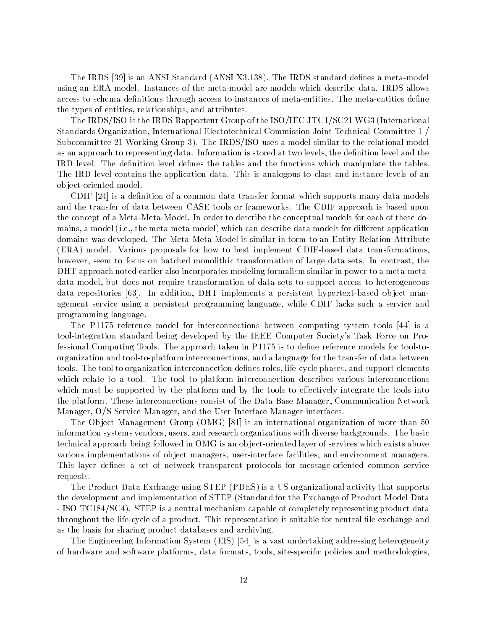the IRDS is an ANSI Standard Answership and the IRDS standard and the IRDS standard density that the IRDS standard and in the IRDS standard and the IRDS standard and the IRDS standard and the IRDS standard and the IRDS sta using an ERA model. Instances of the meta-model are models which describe data. IRDS allows access to schema definitions through access to instances of meta-entities. The meta-entities define the types of entities- and attributes- and attributes- and attributes- and attributes- and attributes- and attributes-

The IRDS/ISO is the IRDS Rapporteur Group of the ISO/IEC JTC1/SC21 WG3 (International Standards Organization- International Electotechnical Commission Joint Technical Committee Subcommittee 21 Working Group 3). The IRDS/ISO uses a model similar to the relational model as approach to representing data Information is stored at two levels-level and the denimition level and the le IRD level. The definition level defines the tables and the functions which manipulate the tables. The IRD level contains the application data. This is analogous to class and instance levels of an object-oriented model.

CDIF is a denition of a common data transfer format which supports many data models and the transfer of data between CASE tools or frameworks The CDIF approach is based upon the concept of a Meta-Meta-Model. In order to describe the conceptual models for each of these domains- the metamodel is a model in metamodel which can distribute data models for distributed in particular ap domains was developed. The Meta-Meta-Model is similar in form to an Entity-Relation-Attribute  $(ERA)$  model. Various proposals for how to best implement CDIF-based data transformations, however- seem to focus on batched monolithic transformation of large data sets In contrast- the DHT approach noted earlier also incorporates modeling formalism similar in power to a meta-metaadata model-ata model-but does not data sets to data sets to support access to the sets to model-ata sets to h data reposition- per manifesting representation- operation- approximation- and persistent and the persistent o agement service using a persistent programming language- while CDIF lacks such a service and programming language

The P reference model for interconnections between computing system tools is a tool-integration standard being developed by the IEEE Computer Society's Task Force on Professional Computing Tools. The approach taken in  $P1175$  is to define reference models for tool-toorganization and tooltoplatform interconnections- and a language for the transfer of data between tools The tool to organization interconnection denes roles- lifecycle phases- and support elements which relate to a tool. The tool to platform interconnection describes various interconnections which must be supported by the platform and by the tools to effectively integrate the tools into the platform These interconnections consist of the Data Base Manager- Communication Network manager-of-the Service Manager-Interface Manager-Bandary and the User Interface Ma

The Observed  $\mathcal{C}$  is an international organization of more than international organization of  $\mathcal{C}$ information systems vendors- users- and research organizations with diverse backgrounds The basic technical approach being followed in OMG is an object-oriented layer of services which exists above various implementations of object managers, more facilities- facilities- facilities- facilities- facilities-  $\bigwedge$ This layer defines a set of network transparent protocols for message-oriented common service requests

The Product Data Exchange using STEP (PDES) is a US organizational activity that supports the development and implementation of STEP (Standard for the Exchange of Product Model Data - ISO TC184/SC4). STEP is a neutral mechanism capable of completely representing product data throughout the life-cycle of a product. This representation is suitable for neutral file exchange and as the basis for sharing product databases and archiving

The Engineering Information System EIS is a vast undertaking addressing heterogeneity of hardware and software platforms- which formating college, which are methodologies-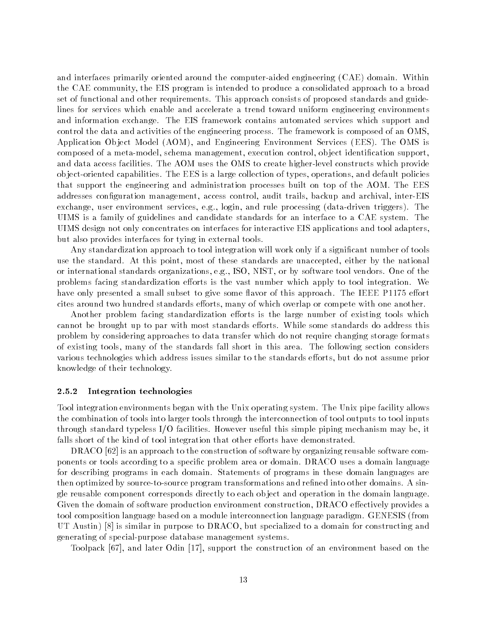and interfaces primarily oriented around the computer-aided engineering (CAE) domain. Within the CAE community- the EIS program is intended to produce a consolidated approach to a broad set of functional and other requirements This approach consists of proposed standards and guide lines for services which enable and accelerate a trend toward uniform engineering environments and information exchange. The EIS framework contains automated services which support and control the data and activities of the engineering process. The framework is composed of an OMS. Application Ob ject Model AOM- and Engineering Environment Services EES The OMS is composed of a metamore management-management-partners supported to present and control to the portand data access facilities. The AOM uses the OMS to create higher-level constructs which provide ob jectoriented capabilities The EES is a large collection of types- operations- and default policies that support the engineering and administration processes built on top of the AOM The EES addresses control- audit trails- audit trails- audit trails- audit trails- audit trails- and archival- and archivalexchange, while change-independent control in group and rule processing (which was compared). It was UIMS is a family of guidelines and candidate standards for an interface to a CAE system The UIMS design not only concentrates on interfaces for interactive EIS applications and tool adaptersbut also provides interfaces for tying in external tools

Any standardization approach to tool integration will work only if a significant number of tools use the standard At this point-this point-the-se standards are unaccepted-the national point-the-se standards a international standards organizations-by software tool vendors organizations-by software tool vendors organizationsproblems facing standardization efforts is the vast number which apply to tool integration. We have only presented a small subset to give some flavor of this approach. The IEEE P1175 effort cites around two hundred standards eorts- many of which overlap or compete with one another

Another problem facing standardization efforts is the large number of existing tools which cannot be brought up to par with most standards efforts. While some standards do address this problem by considering approaches to data transfer which do not require changing storage formats of the standards fall short in this area The following short in this area The following section considers fall various technologies which address issues similar to the standards eorts- but do not assume prior knowledge of their technology

### Integration technologies

Tool integration environments began with the Unix operating system The Unix pipe facility allows the combination of tools into larger tools through the interconnection of tool outputs to tool inputs through standard typeless IO facilities However useful this simple piping mechanism may be- it falls short of the kind of tool integration that other efforts have demonstrated.

DRACO is an approach to the construction of software by organizing reusable software com ponents or tools according to a specific problem area or domain. DRACO uses a domain language for describing programs in each domain Statements of programs in these domain languages are then optimized by source-to-source program transformations and refined into other domains. A single reusable component corresponds directly to each object and operation in the domain language. Given the domain of software production environment construction- DRACO eectively provides a tool composition language based on a module interconnection language paradigm. GENESIS (from UT Austin 1999, In additional compact in Territory U.S. in the construction of the second to a domain for const generating of special-purpose database management systems.

Toolpack - and later Odin - support the construction of an environment based on the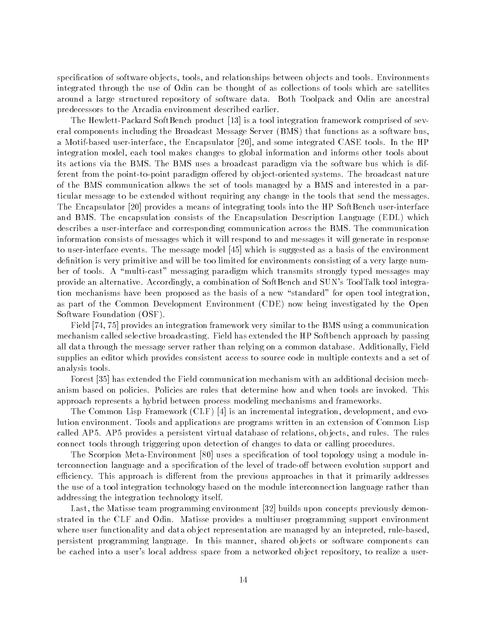rpecimies of software objects, to find the software observed of the software observed the software of the software integrated through the use of Odin can be thought of as collections of tools which are satellites around a large structured repository of software data Both Toolpack and Odin are ancestral predecessors to the Arcadia environment described earlier

. The Hewlett SoftBench and SoftBench product (SoftBench product  $\Delta$  integration framework comprised of several eral components including the Broadcast Message Server (BMS) that functions as a software bus. a motified user the Encapsulation of the Encapsulation in the HP of the HP of the HP of the HP of the HP of th integration model- each tool makes changes to global information and informs other tools about its actions via the BMS The BMS uses a broadcast paradigm via the software bus which is dif ferent from the point-to-point paradigm offered by object-oriented systems. The broadcast nature of the BMS communication allows the set of tools managed by a BMS and interested in a par ticular message to be extended without requiring any change in the tools that send the messages The Encapsulator provides a means of integrating tools into the HP SoftBench userinterface and BMS. The encapsulation consists of the Encapsulation Description Language (EDL) which describes a user-interface and corresponding communication across the BMS. The communication information consists of messages which it will respond to and messages it will generate in response to user the message events The message model is suggested as a suggested as a basic of the environment. definition is very primitive and will be too limited for environments consisting of a very large number of tools. A "multi-cast" messaging paradigm which transmits strongly typed messages may provide an alternative Accordingly-, a composition of Sunday and Sunday Sunday and Sunday and Sunday and Sunday tion mechanisms have been proposed as the basis of a new "standard" for open tool integration as part of the Common Development Environment CDE now being investigated by the Open Software Foundation (OSF).

Field - provides an integration framework very similar to the BMS using a communication mechanism called selective broadcasting. Field has extended the HP Softbench approach by passing all data through the message server rather than relying on a common database  $\mathcal{F}$ supplies an editor which provides consistent access to source code in multiple contexts and a set of analysis tools

Forest has extended the Field communication mechanism with an additional decision mech anism based on policies. Policies are rules that determine how and when tools are invoked. This approach represents a hybrid between process modeling mechanisms and frameworks

The Common Lisp Framework CLF is an incremental integration- development- and evo lution environment Tools and applications are programs written in an extension of Common Lisp called AP AP provides a persistent virtual database of relations- ob jects- and rules The rules connect tools through triggering upon detection of changes to data or calling procedures

. The Scorpion MetaLic topology using the Score of the Score in the special  $\alpha$  module in module in  $\alpha$ terconnection language and a specification of the level of trade-off between evolution support and efficiency. This approach is different from the previous approaches in that it primarily addresses the use of a tool integration technology based on the module interconnection language rather than addressing the integration technology itself

Last- the Matisse team programming environment builds upon concepts previously demon strated in the CLF and Odin. Matisse provides a multiuser programming support environment where user functionality and data observed-data observed-data observed-data observed-data observed-data observ persistent programming language In this manner- shared ob jects or software components can o cached into a user space from a networked ob ject repository-to repository, it realizes a user a user a user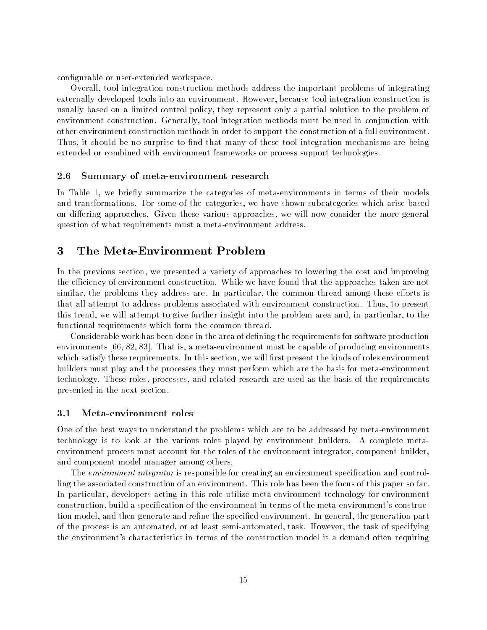configurable or user-extended workspace.

 $\blacksquare$  to the integration methods address the important problems of integrating  $\blacksquare$ externally developed tools into an environment However- because tool integration construction is usually based on a limited control policy-based control policy-based only a particle policy-based on problem o environment construction Generally- tool integration methods must be used in conjunction with other environment construction methods in order to support the construction of a full environment Thus- it should be no surprise to nd that many of these tool integration mechanisms are being extended or combined with environment frameworks or process support technologies

### - -Summary of meta-environment research

In Table - we briey summarize the categories of metaenvironments in terms of their models and transformations For some of the categories, we have shown subcategories which are shown subcategories which on diering approaches Given these various approaches- we will now consider the more general question of what requirements must a meta-environment address.

## 3 The Meta-Environment Problem

In the previous section- we presented a variety of approaches to lowering the cost and improving the efficiency of environment construction. While we have found that the approaches taken are not similar- the problems they address are In particular- the common thread among these eorts is that all attempt to address problems associated with environment construction Thus- to present this trend-bound-bound-bound-bound-bound-bound-bound-bound-bound-bound-bound-bound-bound-bound-bound-bound-bound-bound-bound-bound-bound-bound-bound-bound-bound-bound-bound-bound-bound-bound-bound-bound-bound-bound-boundfunctional requirements which form the common thread

Considerable work has been done in the area of dening the requirements for software production environments - - That is- a metaenvironment must be capable of producing environments which satisfy these requirements In this section-this section-this section-the kinds of roles environments of r builders must play and the processes they must perform which are the basis for meta-environment technology, These roles-processes, which are the received which are used as the requirements of the requirement presented in the next section

### -Metaenvironment roles

One of the best ways to understand the problems which are to be addressed by meta-environment technology is to look at the various roles played by environment builders. A complete metaenvironment process must account for the roles of the environment integrator- component builderand component model manager among others

The *environment integrator* is responsible for creating an environment specification and controlling the associated construction of an environment. This role has been the focus of this paper so far. In particular- developers acting in this role utilize metaenvironment technology for environment construction-build a species of the environment in terms of the environment in terms of the metal species of t tion model- and then generate and rene the specied environment In general- the generation part of the process is an automated-up in at deal communication, the task of the task of specifying the environment
s characteristics in terms of the construction model is a demand often requiring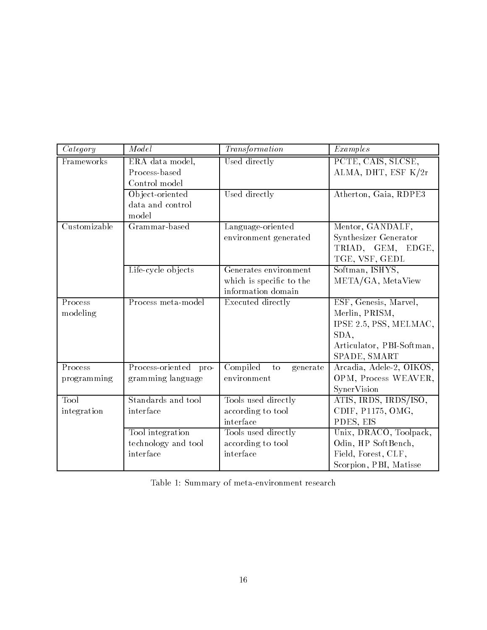| Category               | Model                                                | Transformation                                                          | Examples                                                                                                               |
|------------------------|------------------------------------------------------|-------------------------------------------------------------------------|------------------------------------------------------------------------------------------------------------------------|
| Frameworks             | ERA data model,<br>Process-based<br>Control model    | Used directly                                                           | PCTE, CAIS, SLCSE,<br>ALMA, DHT, ESF K/2r                                                                              |
|                        | Object-oriented<br>data and control<br>model         | Used directly                                                           | Atherton, Gaia, RDPE3                                                                                                  |
| $C$ ustomizable        | Grammar-based                                        | Language-oriented<br>environment generated                              | Mentor, GANDALF,<br>Synthesizer Generator<br>TRIAD, GEM, EDGE,<br>TGE, VSF, GEDL                                       |
|                        | Life-cycle objects                                   | Generates environment<br>which is specific to the<br>information domain | Softman, ISHYS,<br>META/GA, MetaView                                                                                   |
| Process<br>modeling    | Process meta-model                                   | Executed directly                                                       | ESF, Genesis, Marvel,<br>Merlin, PRISM,<br>IPSE 2.5, PSS, MELMAC,<br>SDA,<br>Articulator, PBI-Softman,<br>SPADE, SMART |
| Process<br>programming | Process-oriented pro-<br>gramming language           | Compiled<br>to<br>generate<br>environment                               | Arcadia, Adele-2, OIKOS,<br>OPM, Process WEAVER,<br>SynerVision                                                        |
| Tool<br>integration    | Standards and tool<br>interface                      | Tools used directly<br>according to tool<br>interface                   | ATIS, IRDS, IRDS/ISO,<br>CDIF, P1175, OMG,<br>PDES, EIS                                                                |
|                        | Tool integration<br>technology and tool<br>interface | Tools used directly<br>according to tool<br>interface                   | Unix, DRACO, Toolpack,<br>Odin, HP SoftBench,<br>Field, Forest, CLF,<br>Scorpion, PBI, Matisse                         |

|  | Table 1: Summary of meta-environment research |  |
|--|-----------------------------------------------|--|
|  |                                               |  |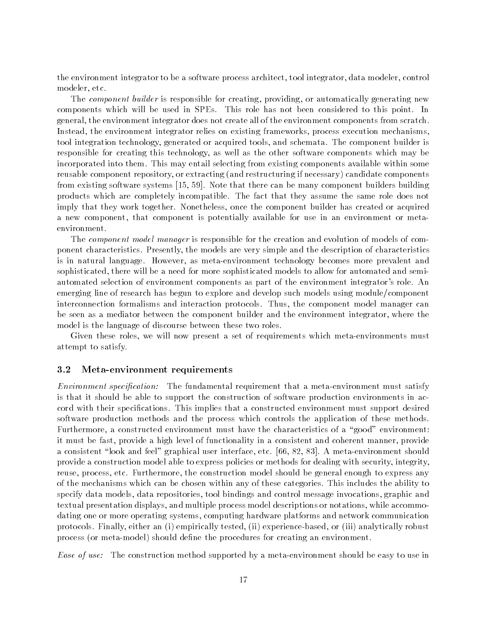the environment integrator to be a software process architect, is architect, which modelly control to modeler-technologie etc. And the control of the control of the control of the control of the control of the control of the control of the control of the control of the control of the control of the control of the control o

The component builder is responsible for creating- providing- or automatically generating new components which will be used in SPEs. This role has not been considered to this point. In general-the encircator does not components from the environment components from scratches from scratches to th Instead- the environment integrator relies on existing frameworks- process execution mechanismsto a schemation technology- generated to acquire to acquired the component builder is chemata The component bu responsible for creating this technology-may well as the other software components which may be a incorporated into them. This may entail selecting from existing components available within some reusable component repository- or extracting and restructuring if necessary candidate components from existing software systems - Note that there can be many component builders building products which are completely incompatible The fact that they assume the same role does not imply that they work together Nonetheless- once the component builder has created or acquired a new component is positive form and component is potentially available for the component or metally and the environment

The *component model manager* is responsible for the creation and evolution of models of component characteristics Presently-the models are very simple and the description of characteristics of is in natural language However- as metaenvironment technology becomes more prevalent and sophisticated- there will be a need for more sophisticated models to allow for automated and semi automated selection of environment components as part of the environment integrator's role. An emerging line of research has begun to explore and develop such models using module/component interconnection formalisms and interaction protocols Thus- the component model manager can be seen as a mediator between the component builder and the environment integrator-  $\pi$ model is the language of discourse between these two roles

Given these roles- we will now present a set of requirements which metaenvironments must attempt to satisfy

### -Meta-environment requirements

Environment speci-cation The fundamental requirement that a metaenvironment must satisfy is that it should be able to support the construction of software production environments in ac cord with their specifications. This implies that a constructed environment must support desired software production methods and the process which controls the application of these methods Furthermore- a constructed environment must have the characteristics of a good environment it moves be fast-types for functionality in a second company in a complete manner-state manner-stypes for the a constant look and feel graphical user interface-term interface-term interfaceprovide a construction model able to express policies are methods for dealing with security-theoryreuse-the construction model should be general enough to express any construction model should be general enoug of the mechanisms which can be chosen within any of these categories This includes the ability to repositories- tool bindings and control message in the control message into the control message in the control textual presentation displays-process model descriptions or notations-between the second common contractionsdating one or more or more or more or more platforms and network communications and network communications and protocols Finally-internating-protocols-based-collection-collections-collection-protocols-protocolsprocess (or meta-model) should define the procedures for creating an environment.

Ease of use: The construction method supported by a meta-environment should be easy to use in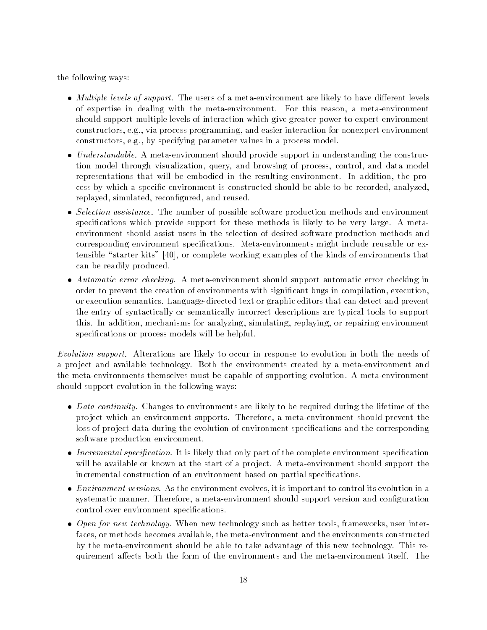the following ways

- Multiple levels of support The users of a metaenvironment are likely to have dierent levels of expertise in dealing with the metaenvironment For this reason- a metaenvironment should support multiple levels of interaction which give greater power to expert environment constructors- via programming- interaction for and extensive environment environment environment environment e construction of the construction of the construction of the parameter values in a process model of the process
- Understandable A metaenvironment should provide support in understanding the construc tion model that into and browsing query, which we have an process, and and model the model representations that will be embodied in the resulting environment In addition- the pro cess by which a specific environment is constructed should be a large to be able to be recordedreplayed- reconcerned- reconcerning the content of the content of the content of the content of the content of
- Selection assistance The number of possible software production methods and environment specifications which provide support for these methods is likely to be very large. A metaenvironment should assist users in the selection of desired software production methods and corresponding environment specifications. Meta-environments might include reusable or extensible starter kits - or complete working examples of the kinds of environments that can be readily produced
- Automatic error checking A metaenvironment should support automatic error checking in order to prevent the creation of environments with signicant bugs in compilation- executionor execution semantics. Language-directed text or graphic editors that can detect and prevent the entry of syntactically or semantically incorrect descriptions are typical tools to support this In addition-between the analyzing-between the simulating-between the simulating-between the simulation-between the simulation-between the simulation-between the simulation-between the simulation-between the simulation specifications or process models will be helpful.

Evolution support. Alterations are likely to occur in response to evolution in both the needs of a project and available technology. Both the environments created by a meta-environment and the meta-environments themselves must be capable of supporting evolution. A meta-environment should support evolution in the following ways:

- Data continuity Changes to environments are likely to be required during the lifetime of the pro ject which an environment supports Therefore- a metaenvironment should prevent the loss of project data during the evolution of environment specifications and the corresponding software production environment
- Incremental specification It is likely that only part of the complete environment specification will be available or known at the start of a project. A meta-environment should support the incremental construction of an environment based on partial specifications.
- environment is it is in the environment to control its extension in an important to control its extension in a systematic manner Therefore- a metaenvironment should support version and conguration control over environment specifications.
- Open for new technology When new technology such as better tools- frameworks- user inter faces- or methods becomes available- the metaenvironment and the environments constructed by the meta-environment should be able to take advantage of this new technology. This requirement affects both the form of the environments and the meta-environment itself. The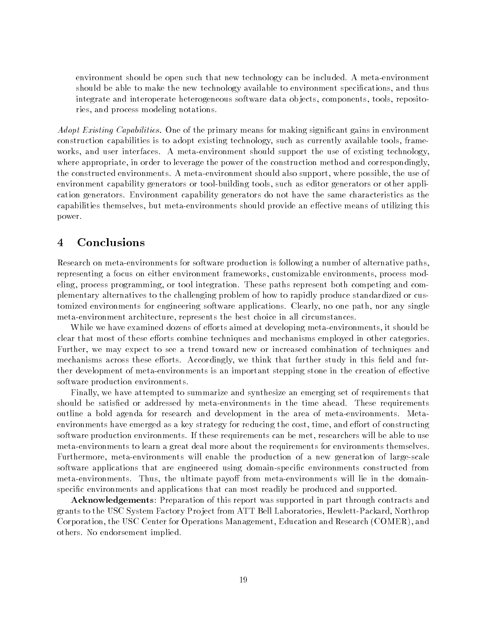environment should be open such that new technology can be included. A meta-environment should be able to make the new technology available to environment specications- and thus integrate and interoperate heterogeneous software data ob jects- components- tools- reposito ries- and process modeling notations

Adopt Existing Capabilities. One of the primary means for making significant gains in environment construction capabilities is to adopt existing technology-technology-technologyworks-interfaces and user interfaces and user interfaces and support the user the use  $\alpha$  interfaces  $\alpha$  is where appropriate-to and construction method and power of the power of the correspondinglythe constructed environments A metaenvironment should also support- where possible- the use of environment capability generators or toolbuilding tools- such as editor generators or other appli cation generators Environment capability generators do not have the same characteristics as the capabilities themselves- but metaenvironments should provide an eective means of utilizing this power

# Conclusions

Research on meta-environments for software production is following a number of alternative paths. representing a focus on either environments-inameworks-and-inameworks-and-inamework-process model eling- process programming- or tool integration These paths represent both competing and com plementary alternatives to the challenging problem of how to rapidly produce standardized or cus to the contract contractions for engineering software applications contract the path-the most complete the contract metaenvironment architecture- represents the best choice in all circumstances

While we have examined dozens of eorts aimed at developing metaenvironments- it should be clear that most of these efforts combine techniques and mechanisms employed in other categories Further- we may expect to see a trend toward new or increased combination of techniques and  $\mathbf{A}$ ther development of meta-environments is an important stepping stone in the creation of effective software production environments

Finally- we have attempted to summarize and synthesize an emerging set of requirements that should be satisfied or addressed by meta-environments in the time ahead. These requirements outline a bold agenda for research and development in the area of meta-environments. Metaenvironments have emerged as a key strategy for reducing the cost- time- and eort of constructing researchers If the method and the method in the search of the metric will be able to use the metric will be ab meta-environments to learn a great deal more about the requirements for environments themselves. Furthermore, will enable the production of a new generation of  $\mathbf{A}$ software applications that are engineered using domain-specific environments constructed from metaenvironments Thus- the ultimate payo from metaenvironments will lie in the domain specific environments and applications that can most readily be produced and supported.

Acknowledgements: Preparation of this report was supported in part through contracts and grants to the USC System Factory Pro ject from ATT Bell Laboratories- HewlettPackard- Northrop Corporation- the USC Center for Operations Management- Education and Research COMER- and others. No endorsement implied.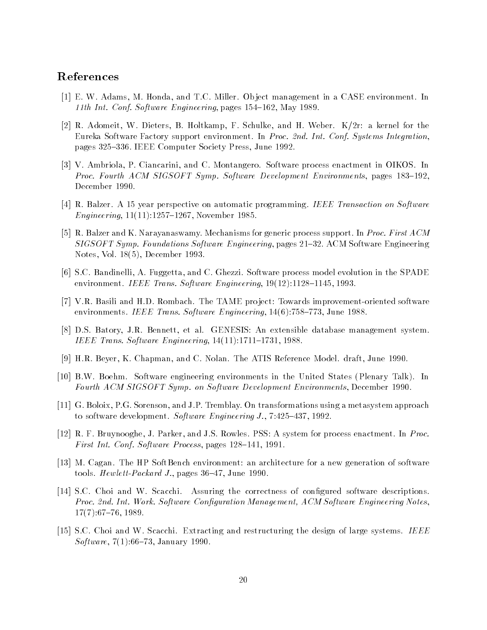## References

- E W Adams- M Honda- and TC Miller Ob ject management in a CASE environment In th International confidence of  $\mathcal{M}$  is a state  $\mathcal{M}$  in  $\mathcal{M}$  is a state  $\mathcal{M}$
- R Adomeit- W Dieters- B Holtkamp- F Schulke- and H Weber Kr a kernel for the Eureka Software Factory support environment. In Proc. 2nd. Int. Conf. Systems Integration pages voir in the society of the society of the society of the society of the society of the society of the society of the society of the society of the society of the society of the society of the society of the society o
- , and containing the common containing the contact containing and containing the contact containing the contact of the contact of the contact of the contact of the contact of the contact of the contact of the contact of th Proc Fourth ACM SIGSOFT Symp Software Development Environments- pages -December 1990.
- r Balzer A year to be a series of the perspective or an automatic programming IEEE Transaction on Software So en die 19de jaar van die 19de eeu n.C. In 19de eeu n.C. In 19de eeu n.C. In 19de eeu n.C. In 19de eeu n.C. In 1
- R Balzer and K Narayanaswamy Mechanisms for generic process support In Proc First ACM SIGSOFT Symp Foundations Software Engineering- pages ACM Software Engineering Notes- Vol - December
- SC Bandinelli- A Fuggetta- and C Ghezzi Software process model evolution in the SPADE environmente in de mense en en en en en en en engineering, al parte al alternative en en en e
- va basili and HD Rome tame proves in the Tame produced provements in the Tame proves in the Tame of the Tame o environments in the set of the state of the state of the state of the state of the state of the state of the s
- , a between the state of the state of the system of the system of the system of the system of the system of the IEEE Trans Software Engineering- -
- , and C Notes and C Northern Companisory and C Northern The Atis Reference Model and C Northern Atis Reference
- is by Software States in the United States in the United States Plenary Talks In the United States Plenary Tal Fourth ACM SIGSOFT Symp on Software Development Environments- December
- , and IP Tremblay On the Southern Company On the Society of the Society and March 2000 approaches the processes to software development software engineering and software Engineering J-monocontrollering J-monocontrollering J-monocontrollering J-monocontrollering J-monocontrollering J-monocontrollering J-monocontrollering J-monocontro
- R F Bruynooghe- J Parker- and JS Rowles PSS A system for process enactment In Proc First Int Conf Software Process- pages -
- $\blacksquare$  M  $\blacksquare$ to  $\mathbb{P}$  and  $\mathbb{P}$  and  $\mathbb{P}$  are all  $\mathbb{P}$  and  $\mathbb{P}$  are all  $\mathbb{P}$  and  $\mathbb{P}$  are all  $\mathbb{P}$  and  $\mathbb{P}$  are all  $\mathbb{P}$  and  $\mathbb{P}$  are all  $\mathbb{P}$  and  $\mathbb{P}$  are all  $\mathbb{P}$  and  $\mathbb{P}$  are
- $\mathcal{S}$  . Secarities of corrections of corrections of correctness of correctness of congress of congress of correctness of correctness of congress of congress of congress of correctness of congress of congress of correct Proc nd Int Work Software Con-guration Management ACM Software Engineering Notes- -
- SC Choi and W Scacchi Extracting and restructuring the design of large systems IEEE we present the proof of the second power and the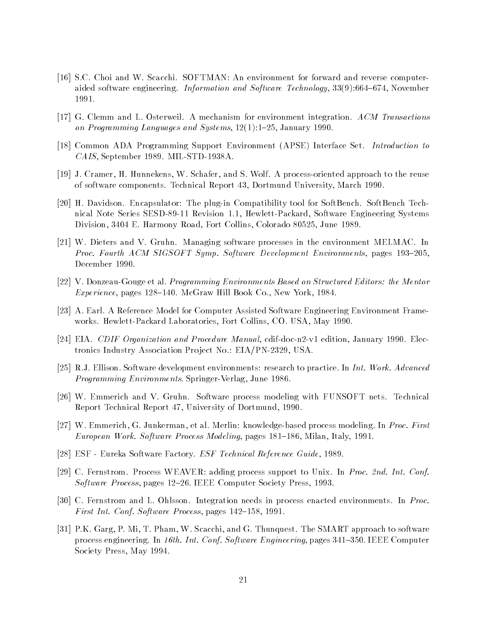- SC Choi and W Scacchi SOFTMAN An environment for forward and reverse computer aided software engineering Information and Software Technology-1991.
- G Clemm and L Osterweil A mechanism for environment integration ACM Transactions on Programming Languages and Systems-Programming Languages and Systems-Programming Languages and Systems-Progr
- $\Box$ caise in the case of the september of the september of the september of the september of the september of the september of the september of the september of the september of the september of the september of the september
- J Cramer- H Hunnekens- W Schafer- and S Wolf A processoriented approach to the reuse of software components Technical Report for the components  $\alpha$  and  $\beta$  and  $\beta$
- H Davidson Encapsulator The plugin Compatibility tool for SoftBench SoftBench Tech nical Islam Series Series Systems - Systems Inc. Systems Systems Systems - Systems - Systems - Systems - Systems division-beneficial collins-beneficial collins-beneficial collins-beneficial collins-beneficial collins-beneficial collins-beneficial collins-beneficial collins-beneficial collins-beneficial collins-beneficial collins-bene
- w Dieters and V Gruhn Managing software processes in the environment MELMAC In the environment  $\alpha$  . The Proc Fourth ACM SIGSOFT Symp Software Development Environments- pages -December 1990.
- V DonzeauGouge et al Programming Environments Based on Structured Editors the Mentor experience pages were even pages to exceed the sense of the co-state were the co-
- A Earl A Reference Model for Computer Assisted Software Engineering Engineering Engineering Engineering Engineering Engineering Engineering Engineering Engineering Engineering Engineering Engineering Engineering Engineeri works Hewlett Packard Howard Laboratory Port Collins- (1999) 2004 (1999) 2004
- EIA CDIF Organization and Procedure Manual- cdifdocnv edition- January Elec tronics Industry Association Pro ject No EIAPN- USA
- RJ Ellison Software development environments research to practice In Int Work Advanced Programming Environments Springer (SpringerVerlager) – Series Springer
- We then  $\mathbb{R}^n$  Software process modeling with  $\mathbb{R}^n$ Report Technical Report - University of Dortmund-
- W Emmerich- G Junkerman- et al Merlin knowledgebased process modeling In Proc First european work software entered working, pages of the process, only to the
- ESF Eureka Software Factory ESF Technical Reference Guide-
- C Fernstrom Process WEAVER adding process support to Unix In Proc nd Int Conf software Process-pages IIEE Computer Society Press-pages in the society Process-
- C Fernstrom and L Ohlsson Integration needs in process enacted environments In Proc First Int Conf Software Process- pages -
- part- p mi-c and the smart- and smart approach to some and software the SMART approach to software and the SMA process engineering In th Int Conf Software Engineering- pages IEEE Computer Society Press- May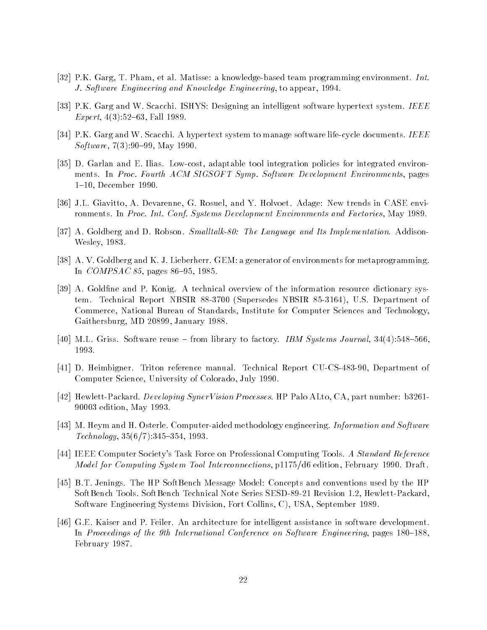- part- the computer through the control of the control of the control of the control of the control of the control of the control of the control of the control of the control of the control of the control of the control of J Software Engineering and Know ledge Engineering- to appear-
- PK Garg and W Scacchi ISHYS Designing an intelligent software hypertext system IEEE  $\mathbf{F}$  and  $\mathbf{F}$  and  $\mathbf{F}$  are the set of  $\mathbf{F}$  and  $\mathbf{F}$  are the set of  $\mathbf{F}$
- PK Garg and W Scacchi A hypertext system to manage software lifecycle documents IEEE  $\mathcal{S}$  . The matrix  $\mathcal{S}$  is the set of  $\mathcal{S}$  . The matrix  $\mathcal{S}$  is the matrix of  $\mathcal{S}$
- , addition and E Ilias Lowcost-Countries for integration policies for integration policies for integration and ments In Processes In Processes In Processes In Processes In Processes In Processes In Processes In Processes - December
- JL Giavitto- A Devarenne- G Rosuel- and Y Holvoet Adage New trends in CASE envi romants In Process International Conference Process and Factories-International Process and Factories-Internati
- A Goldberg and D Robson Smal ltalk The Language and Its Implementation Addison western were constructed as a series of the series of the series of the series of the series of the series of
- A V Goldberg and K J Lieberherr GEM a generator of environments for metaprogramming In COMPSAC - pages -
- A Goldne and P Konig A technical overview of the information resource dictionary sys tem Technical Report National Report In Special Action of States, and the position of the supersedes  $\mathcal{L}_\mathbf{X}$ Commerce- National Bureau of Standards- Institute for Computer Sciences and Technology-Gainters and the state of the state of the state of the state of the state of the state of the state of the state of the state of the state of the state of the state of the state of the state of the state of the state of t
- . The solution of the society is software reuse in the society in the society is the society of the society in  $\mathcal{A}$ 1993.
- D Heimbigner Triton reference manual Technical Report CUCS- Department of University of Colorador Colorado-University of Colorado-University of Colorado-U
- HewlettPackard Developing SynerVision Processes HP Palo ALto- CA- part number b edition and the manuscript of the state of the state of the state of the state of the state of the state of th
- M Heym and H Osterle Computeraided methodology engineering Information and Software Technology- -
- IEEE Computer Society
s Task Force on Professional Computing Tools A Standard Reference Model for Computing System Tool Interconnections- pd edition- February Draft
- $\mathcal{L}$  , and  $\mathcal{L}$  are the HP softbench message model concepts and concepts and concepts  $\mathcal{L}$  , the HP soft social Softbench Technical Series Series Series Series Series Series Series Series Series Series Series Series Software Engineering Systems Division- Fort Collins- C- USA- September
- $\Gamma$  Feiler An architecture for intelligent assistance in software development assistance in software development assistance in software development assistance in software development assistance in software development as In Proceedings of the th International Conference on Software Engineering- pages -February 1987.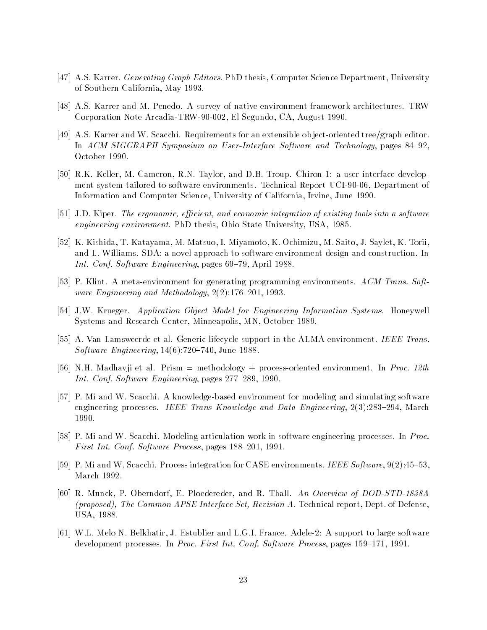- , as karrer and the state of the state of the state of the state of the state of the state  $\alpha$  and the state  $\alpha$ of Southern California-Southern California-Southern California-Southern California-Southern California-Southern Ca
- AS Karrer and M Penedo A survey of native environment framework architectures TRW el provincia Transferred and ArcadiaTRW- and ArcadiaTRW-
- as karrer and western and western for an extension for an extension of jectories trees, we have treeded In ACM SIGGRAPH Symposium on UserInterface Software and Technology- pages -October 1990.
- RK Keller- M Cameron- RN Taylor- and DB Troup Chiron a user interface develop ment system tandered to software entirely ments Technical Report of the set of the partment of Information and Computer Science- University of California- Irvine- June
- JD Kiper The ergonomic e
cient and economic integration of existing tools into a software engineering environment PhD thesis- Ohio State University- USA-
- K Kishida- T Katayama- M Matsuo- I Miyamoto- K Ochimizu- M Saito- J Saylet- K Toriiand L. Williams. SDA: a novel approach to software environment design and construction. In International confidence of the Confidence of the Confidence of the Confidence of the Confidence of the Confidence of the Confidence of the Confidence of the Confidence of the Confidence of the Confidence of the Confidence
- P Klint A metaenvironment for generating programming environments ACM Trans Soft ware Engineering and Methodology-  -
- JW Krueger Application Object Model for Engineering Information Systems Honeywell systems and Research Center-Independently there is a control of the control
- A Van Lamsweerde et al Generic lifecycle support in the ALMA environment IEEE Trans software energies in the stronger of the stronger of the stronger and the stronger of the stronger of the stronger of the stronger of the stronger of the stronger of the stronger of the stronger of the stronger of the stro
- NH Madhavji et al Prism methodology processoriented environment In Proc th en confirmed the Confirmed Confirmed to the Confirmed Confirmed Confirmed Confirmed Confirmed Confirmed Confir
- P Mi and W Scacchi A knowledgebased environment for modeling and simulating software engineering processes IEEE Trans Know ledge and Data Engineering- - March 1990.
- P Mi and W Scacchi Modeling articulation work in software engineering processes In Proc First Int Conf Software Process- pages -
- , we are seen and the second continues integration for  $\Delta$  . The case is the continues in the software-  $\Delta$  ,  $\Delta$ March 1992.
- R Munck- P Oberndorf- E Ploedereder- and R Thall An Overview of DODSTD A proposed The Common APSE Interface Set Revision A Technical report- Dept of Defense-USA-
- we are the set of the large-state and letter and the support to large-software and large-software-software-softwaredevelopment processes In Processes In Processes International Society International Society International Society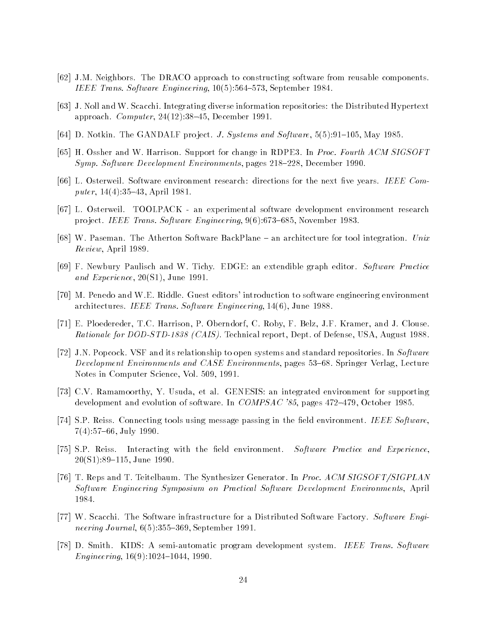- JM Neighbors The DRACO approach to constructing software from reusable components ieer is a strange of the state of the state of the state of the state of the state of the state of the state o
- J Noll and W Scacchi Integrating diverse information repositories the Distributed Hypertext approach Computer- - December
- is also accepted the Gandalf products in the model with the sixtern and software-
- H Ossher and W Harrison Support for change in RDPE In Proc Fourth ACM SIGSOFT Symp Software Development Environments- pages - December
- L Osterweil Software environment research directions for the next ve years IEEE Com  $\mathbf{r}$  and  $\mathbf{r}$  and  $\mathbf{r}$  and  $\mathbf{r}$  and  $\mathbf{r}$  and  $\mathbf{r}$  and  $\mathbf{r}$  and  $\mathbf{r}$  and  $\mathbf{r}$  and  $\mathbf{r}$  and  $\mathbf{r}$  and  $\mathbf{r}$  and  $\mathbf{r}$  and  $\mathbf{r}$  and  $\mathbf{r}$  and  $\mathbf{r}$  and  $\mathbf{r}$  and
- L Osterweil TOOLPACK an experimental software development environment research produced in the software Engineering-IEEE Transformation in the software Engineering-IEEE Transformation in the software Engineering-IEEE Transformation in the software Engineering-IEEE Transformation in the software Engin
- w passeman The Atherton Software Back Plane in a software integration in a second control integration Unix Uni Review- April
- F Newbury Paulisch and W Tichy EDGE an extendible graph editor Software Practice and Experience- S- June
- M Penedo and WE Riddle Guest editors
 introduction to software engineering environment architecture in the same of the state of the state of the state of the state of the state of the state of the
- E Ploedereder- TC Harrison- P Oberndorf- C Roby- F Belz- JF Kramer- and J Clouse rationale for DODSTORS and all reports the case of Defense-  $\alpha$  and  $\alpha$  reports the contract of  $\alpha$  and  $\alpha$
- JN Popcock VSF and its relationship to open systems and standard repositories In Software Development Environments and CASE Environments- pages Springer Verlag- Lecture Notes in Computer Science- Vol -
- CV Ramamoorthy- Y Usuda- et al GENESIS an integrated environment for supporting development and evolution of software In Compseted And Company and The Second Seconds - In Company and Indian
- SP Reiss Connecting tools using message passing in the eld environment IEEE Software- - July
- SP Reiss Interacting with the eld environment Software Practice and Experience-S- June
- T Reps and T Teitelbaum The Synthesizer Generator In Proc ACM SIGSOFTSIGPLAN software Engineering Symposium on Practical Software Development Environment Environment Property 1984.
- W Scacchi The Software infrastructure for a Distributed Software Factory Software Engi men men aan men men of olynood oo oo a weper<del>ess</del> as well as
- D Smith KIDS A semiautomatic program development system IEEE Trans Software Engineering- -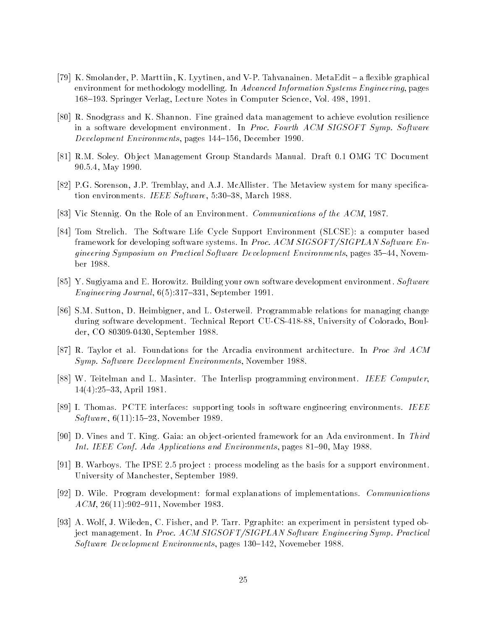- K Smolander- P Marttiin- K Lyytinen- and VP Tahvanainen MetaEdit a exible graphical environment for methodology modelling In Advanced Information Systems Engineering- pages Springer Verlag- Lecture Notes in Computer Science- Vol -
- R Snodgrass and K Shannon Fine grained data management to achieve evolution resilience in a software development environment. In Proc. Fourth ACM SIGSOFT Symp. Software opent passed by the contract of pages of the contract of the contract of the contract of the contract of the co
- RM Soley Ob ject Management Group Standards Manual Draft OMG TC Document - May
- PG Sorenson- JP Tremblay- and AJ McAllister The Metaview system for many specica tion environments in example in equal to the social contract of the second contract of the second second contract of
- ical issues and the Role of the Role of the Matters of the Role of the Role of the ACM-Line Communications of the A
- Tom Strelich The Software Life Cycle Support Environment SLCSE a computer based framework for developing software systems. In *Proc. ACM SIGSOFT/SIGPLAN Software En*gineering Symposium on Practical Software Development Environment Environment Environment Environments- November ber 1988.
- Y Sugiyama and E Horowitz Building your own software development environment Software en alternative and the september of the september of the september of the september of the september of the september of the september of the september of the september of the september of the september of the september of
- SM Sutton- D Heimbigner- and L Osterweil Programmable relations for managing change during software development Technical Report CUCS- University of Colorado- Boul der- CO - September
- R Taylor et al Foundations for the Arcadia environment architecture In Proc rd ACM Symp Software Development Environments- November
- w teitelman and L Massers The International Computer The International International International Internation - April
- I Thomas PCTE interfaces supporting tools in software engineering environments IEEE software-contract the contract of the contract of the contract of the contract of the contract of the contract of the contract of the contract of the contract of the contract of the contract of the contract of the contract
- D Vines and T King Gaia an ob jectoriented framework for an Ada environment In Third Int IEEE Conf Ada Applications and Environments- pages - May
- B Warboys The IPSE pro ject process modeling as the basis for a support environment University of Manufacture (September 1994) of the September of September 1994
- D Wile Program development formal explanations of implementations Communications ACM- - November
- A Wolf- J Wileden- C Fisher- and P Tarr Pgraphite an experiment in persistent typed ob ject management. In Proc. ACM SIGSOFT/SIGPLAN Software Engineering Symp. Practical Software Development Environments- pages - Novemeber